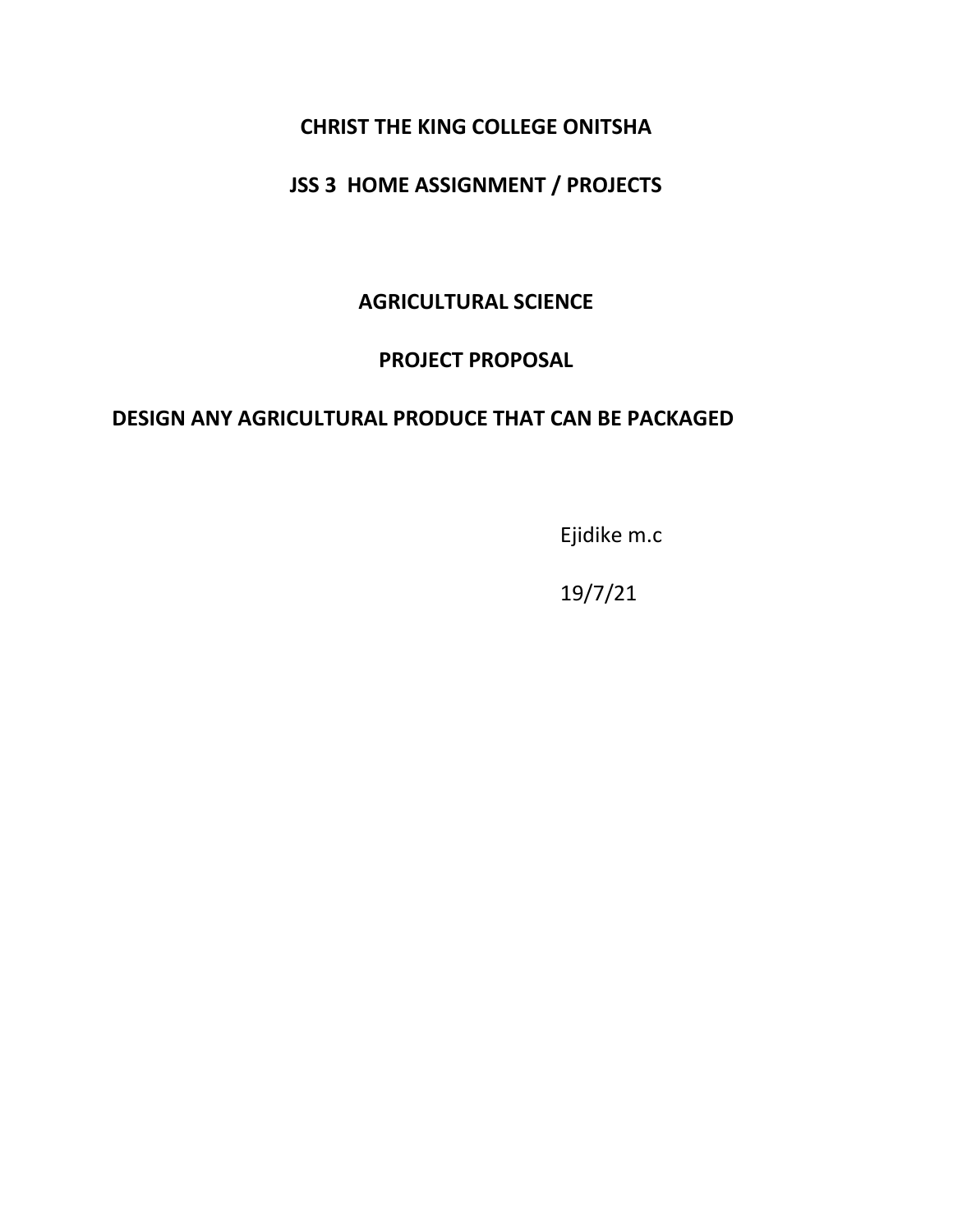## **CHRIST THE KING COLLEGE ONITSHA**

# **JSS 3 HOME ASSIGNMENT / PROJECTS**

**AGRICULTURAL SCIENCE**

# **PROJECT PROPOSAL**

#### **DESIGN ANY AGRICULTURAL PRODUCE THAT CAN BE PACKAGED**

Ejidike m.c

19/7/21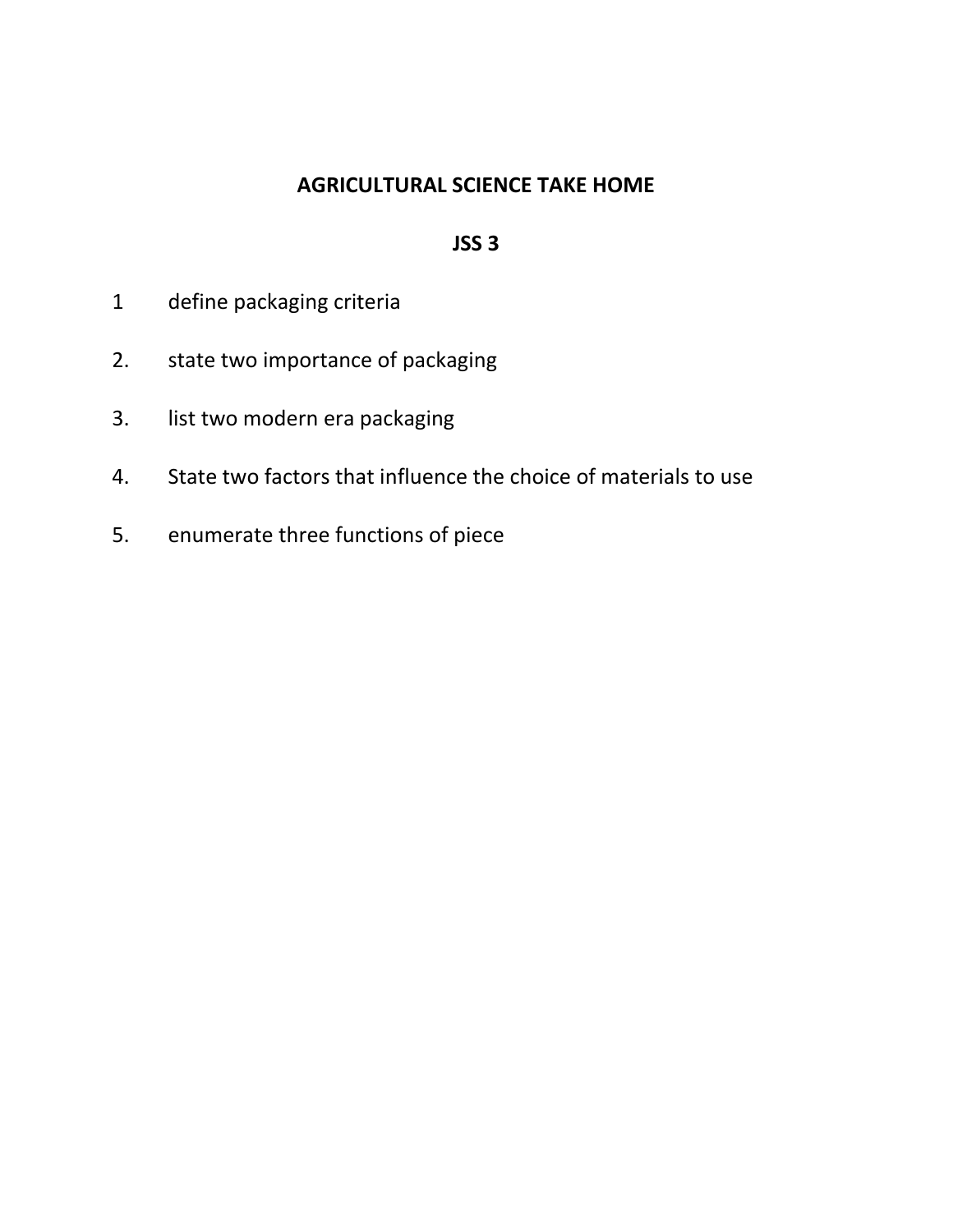# **AGRICULTURAL SCIENCE TAKE HOME**

#### **JSS 3**

- 1 define packaging criteria
- 2. state two importance of packaging
- 3. list two modern era packaging
- 4. State two factors that influence the choice of materials to use
- 5. enumerate three functions of piece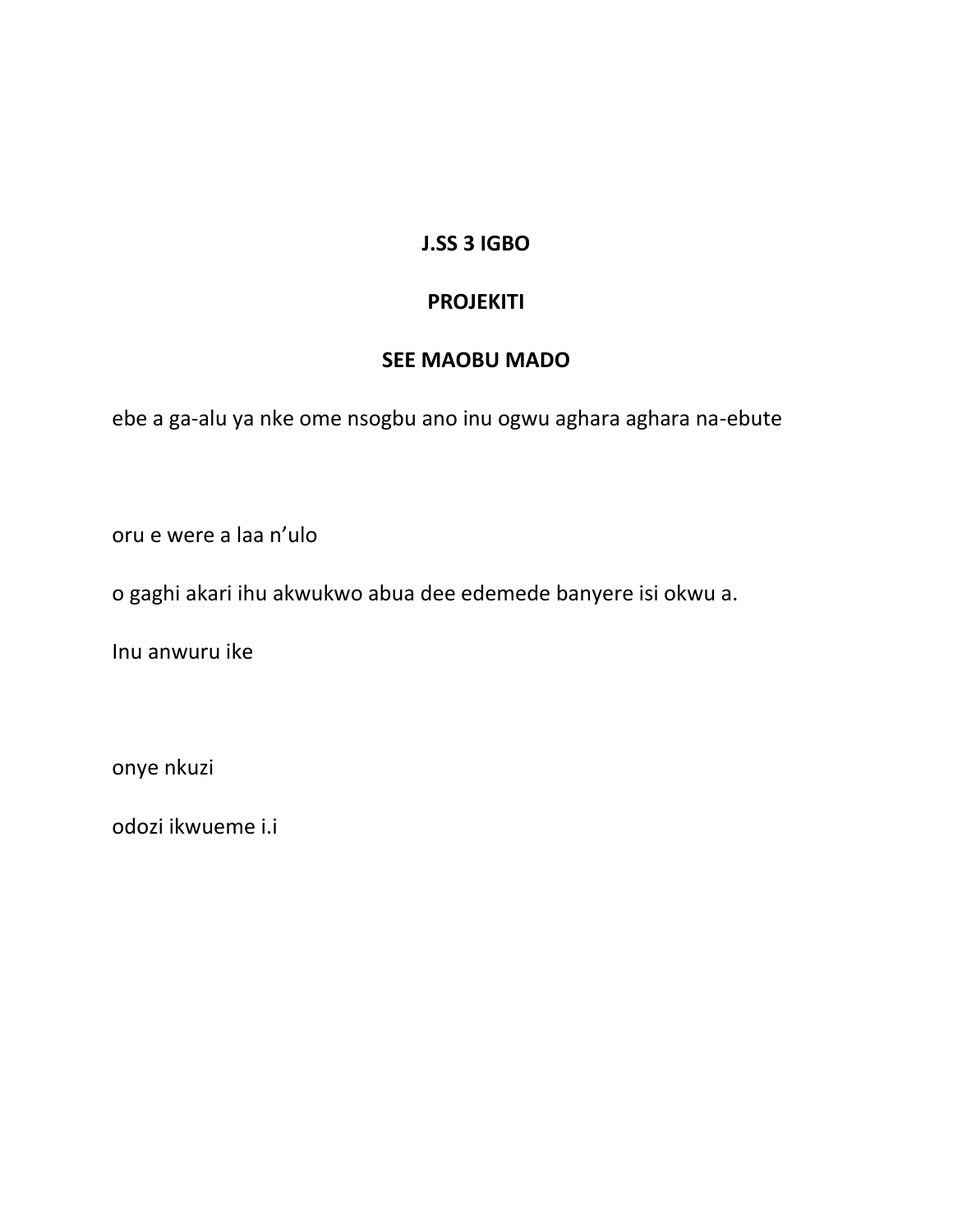# **J.SS 3 IGBO**

# **PROJEKITI**

# **SEE MAOBU MADO**

ebe a ga-alu ya nke ome nsogbu ano inu ogwu aghara aghara na-ebute

oru e were a laa n'ulo

o gaghi akari ihu akwukwo abua dee edemede banyere isi okwu a.

Inu anwuru ike

onye nkuzi

odozi ikwueme i.i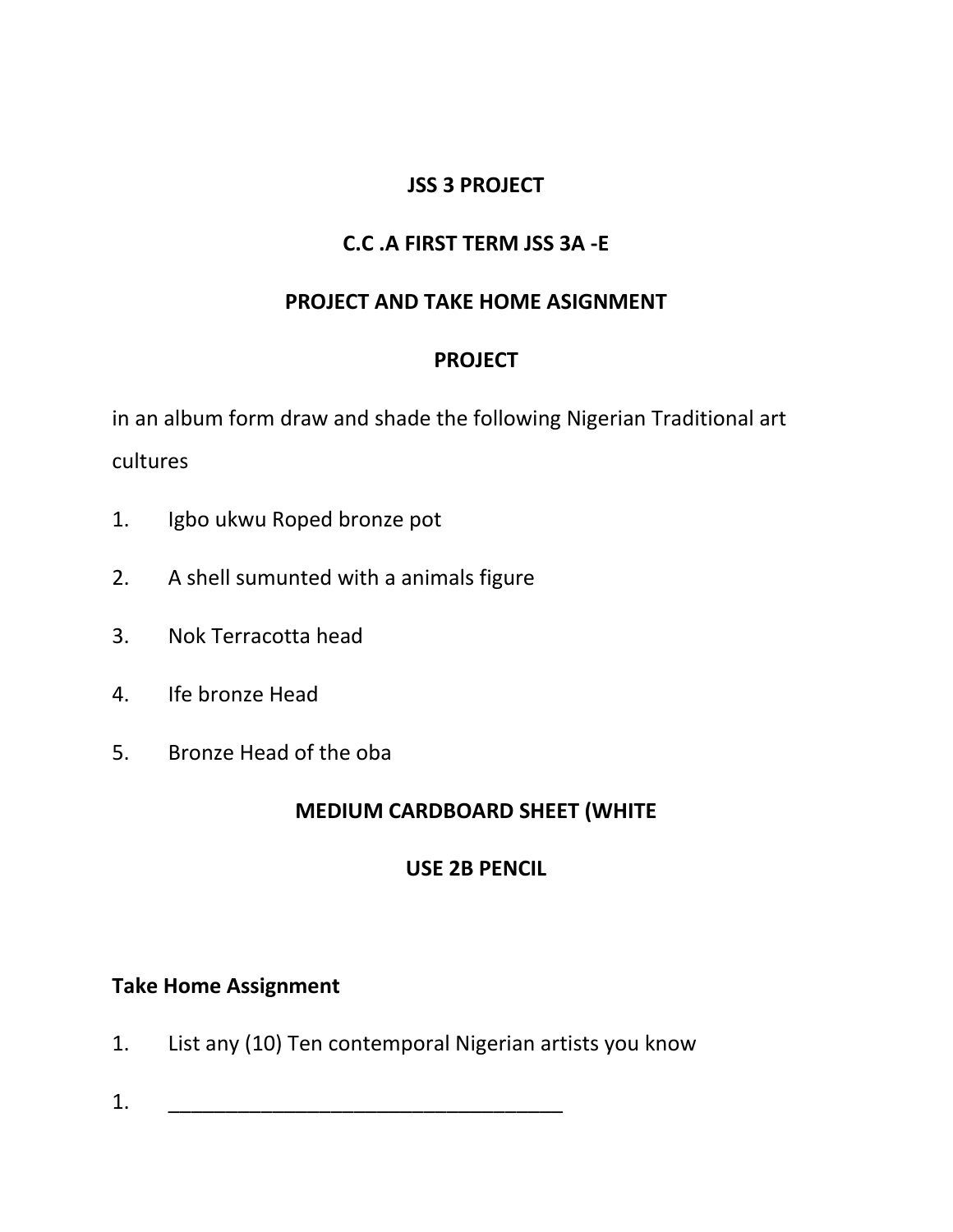# **JSS 3 PROJECT**

# **C.C .A FIRST TERM JSS 3A -E**

# **PROJECT AND TAKE HOME ASIGNMENT**

# **PROJECT**

in an album form draw and shade the following Nigerian Traditional art cultures

- 1. Igbo ukwu Roped bronze pot
- 2. A shell sumunted with a animals figure
- 3. Nok Terracotta head
- 4. Ife bronze Head
- 5. Bronze Head of the oba

# **MEDIUM CARDBOARD SHEET (WHITE**

#### **USE 2B PENCIL**

#### **Take Home Assignment**

- 1. List any (10) Ten contemporal Nigerian artists you know
- $1.$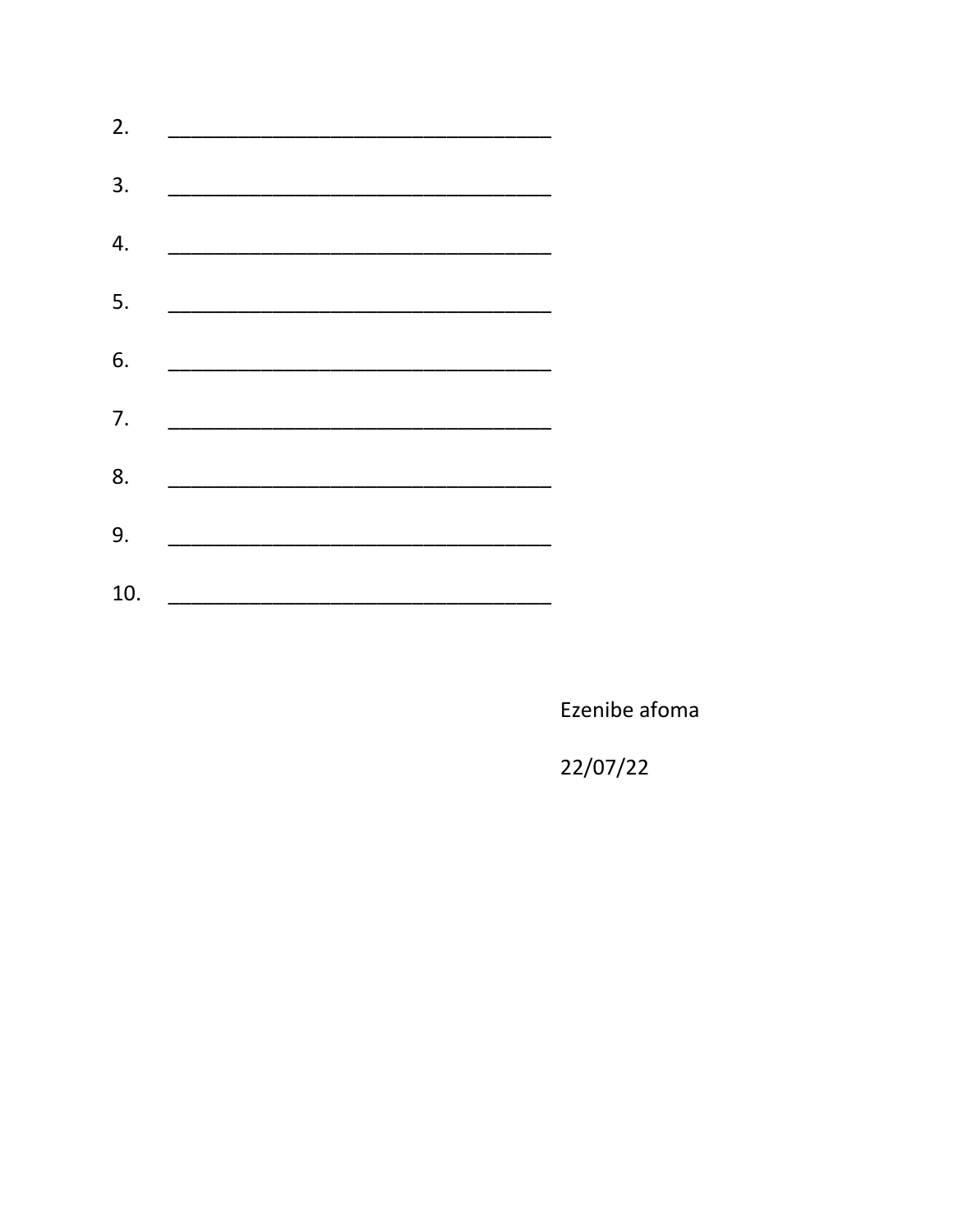| 2.  | the control of the control of the control of |
|-----|----------------------------------------------|
| 3.  |                                              |
| 4.  |                                              |
| 5.  |                                              |
| 6.  |                                              |
| 7.  |                                              |
| 8.  |                                              |
| 9.  |                                              |
| 10. |                                              |

Ezenibe afoma

22/07/22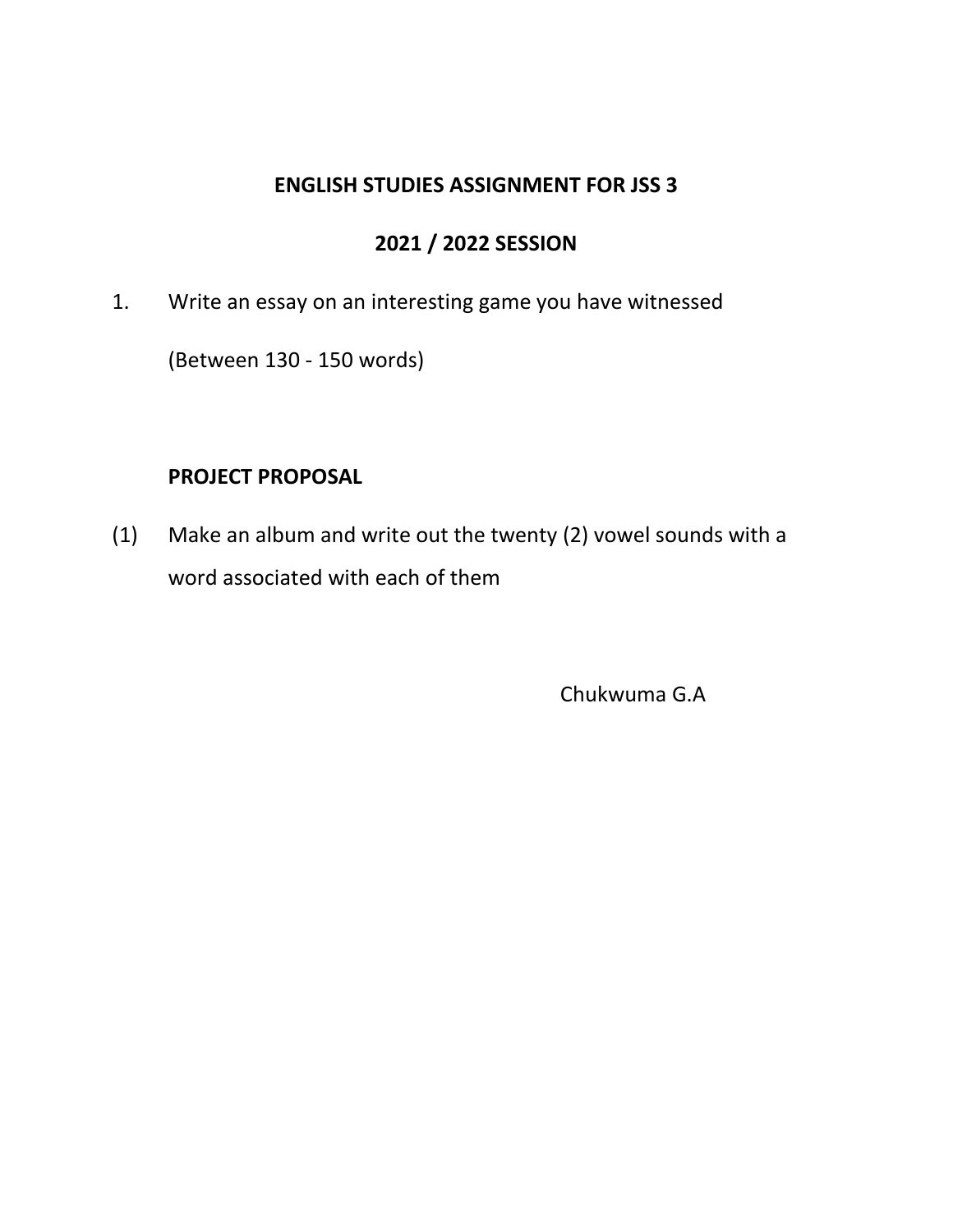### **ENGLISH STUDIES ASSIGNMENT FOR JSS 3**

# **2021 / 2022 SESSION**

1. Write an essay on an interesting game you have witnessed

(Between 130 - 150 words)

# **PROJECT PROPOSAL**

(1) Make an album and write out the twenty (2) vowel sounds with a word associated with each of them

Chukwuma G.A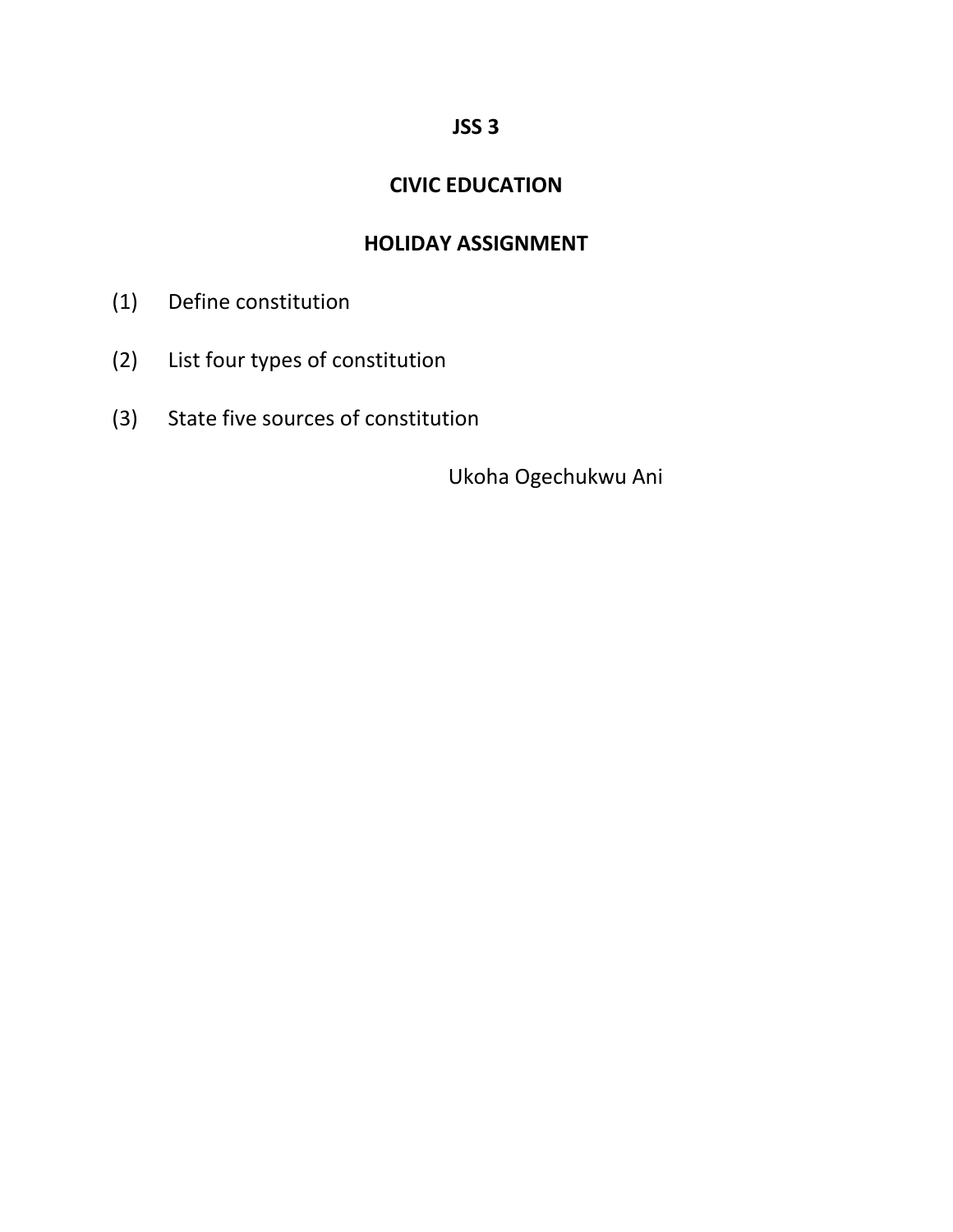## **JSS 3**

# **CIVIC EDUCATION**

# **HOLIDAY ASSIGNMENT**

- (1) Define constitution
- (2) List four types of constitution
- (3) State five sources of constitution

Ukoha Ogechukwu Ani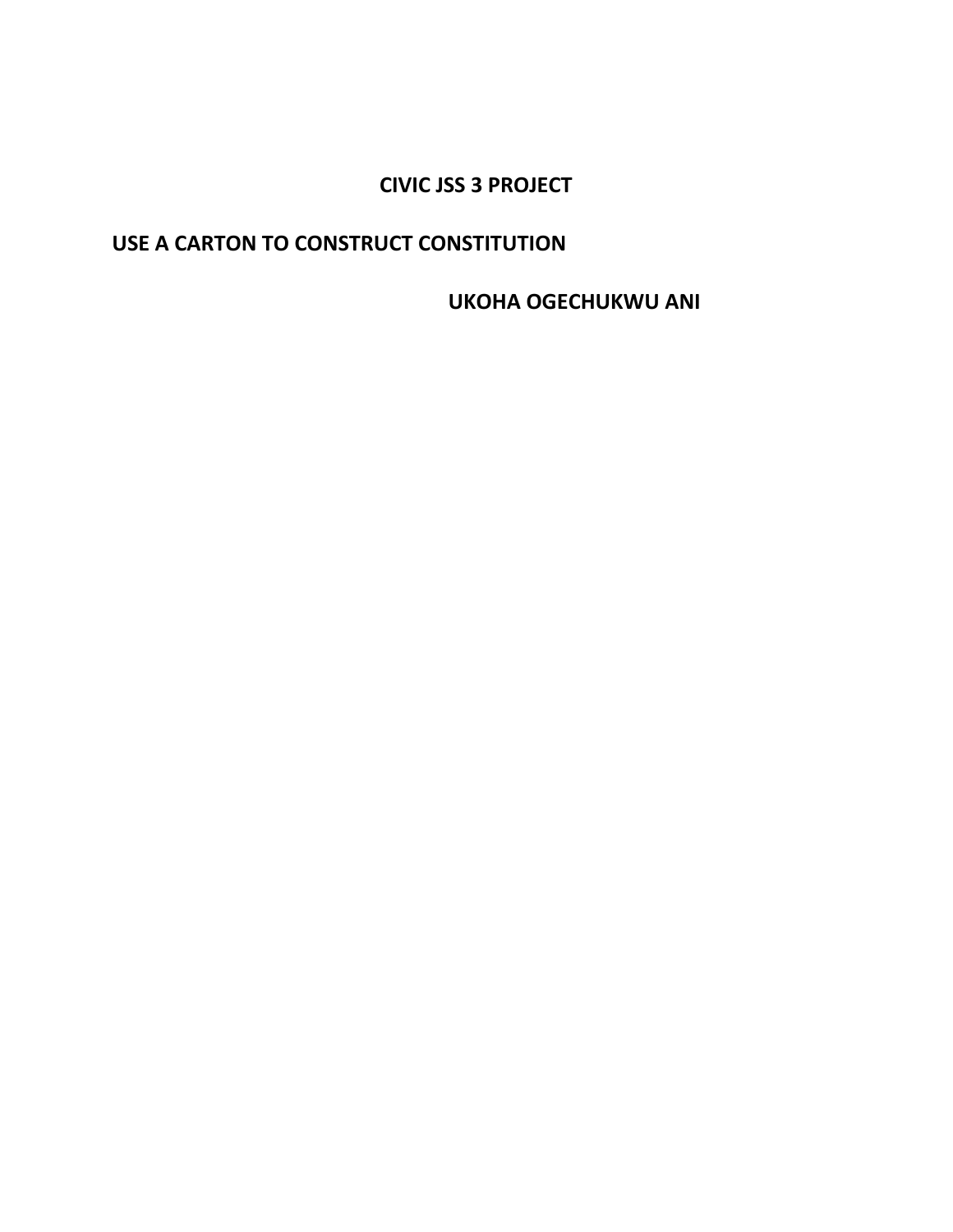# **CIVIC JSS 3 PROJECT**

## USE A CARTON TO CONSTRUCT CONSTITUTION

**UKOHA OGECHUKWU ANI**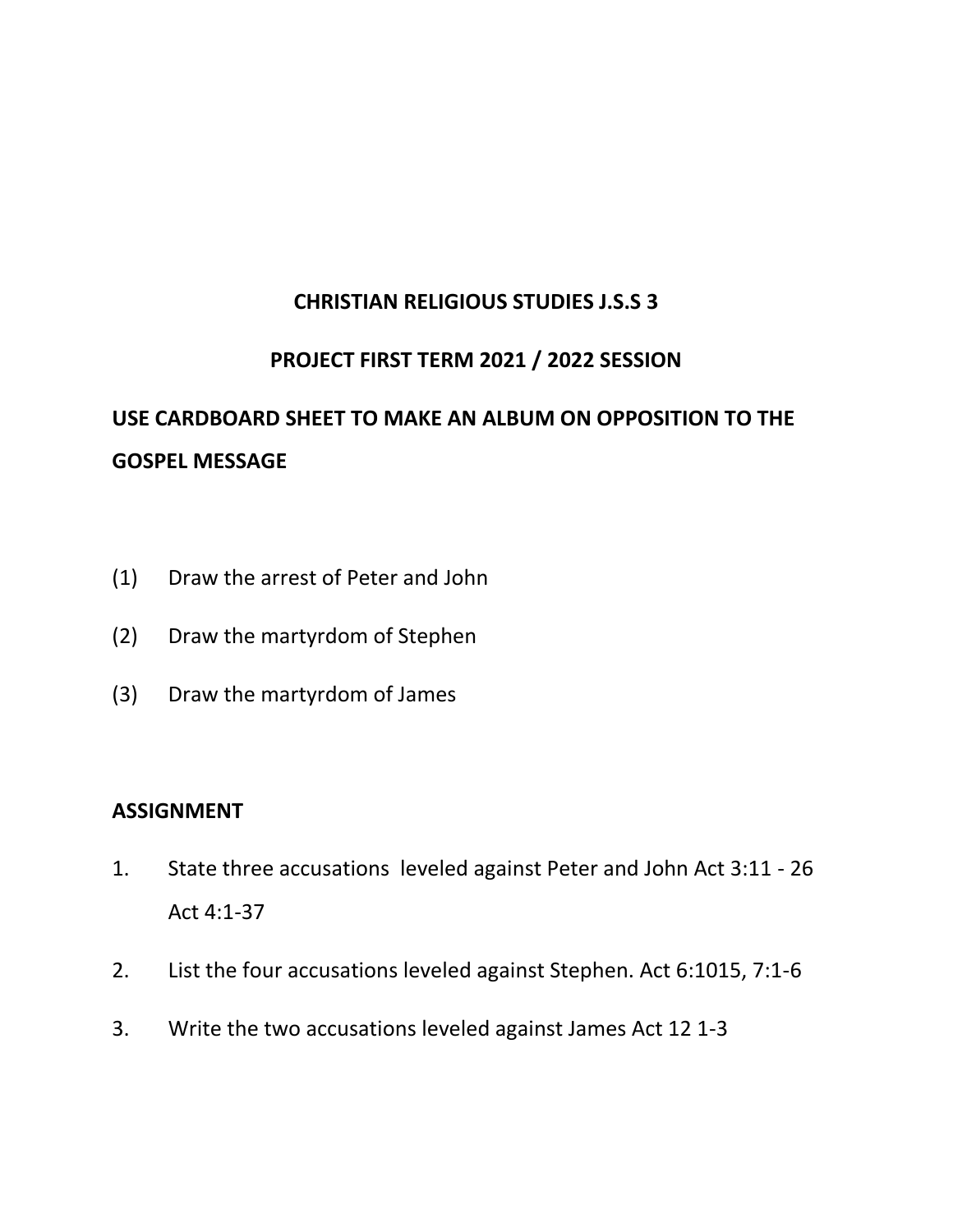## **CHRISTIAN RELIGIOUS STUDIES J.S.S 3**

#### **PROJECT FIRST TERM 2021 / 2022 SESSION**

# **USE CARDBOARD SHEET TO MAKE AN ALBUM ON OPPOSITION TO THE GOSPEL MESSAGE**

- (1) Draw the arrest of Peter and John
- (2) Draw the martyrdom of Stephen
- (3) Draw the martyrdom of James

#### **ASSIGNMENT**

- 1. State three accusations leveled against Peter and John Act 3:11 26 Act 4:1-37
- 2. List the four accusations leveled against Stephen. Act 6:1015, 7:1-6
- 3. Write the two accusations leveled against James Act 12 1-3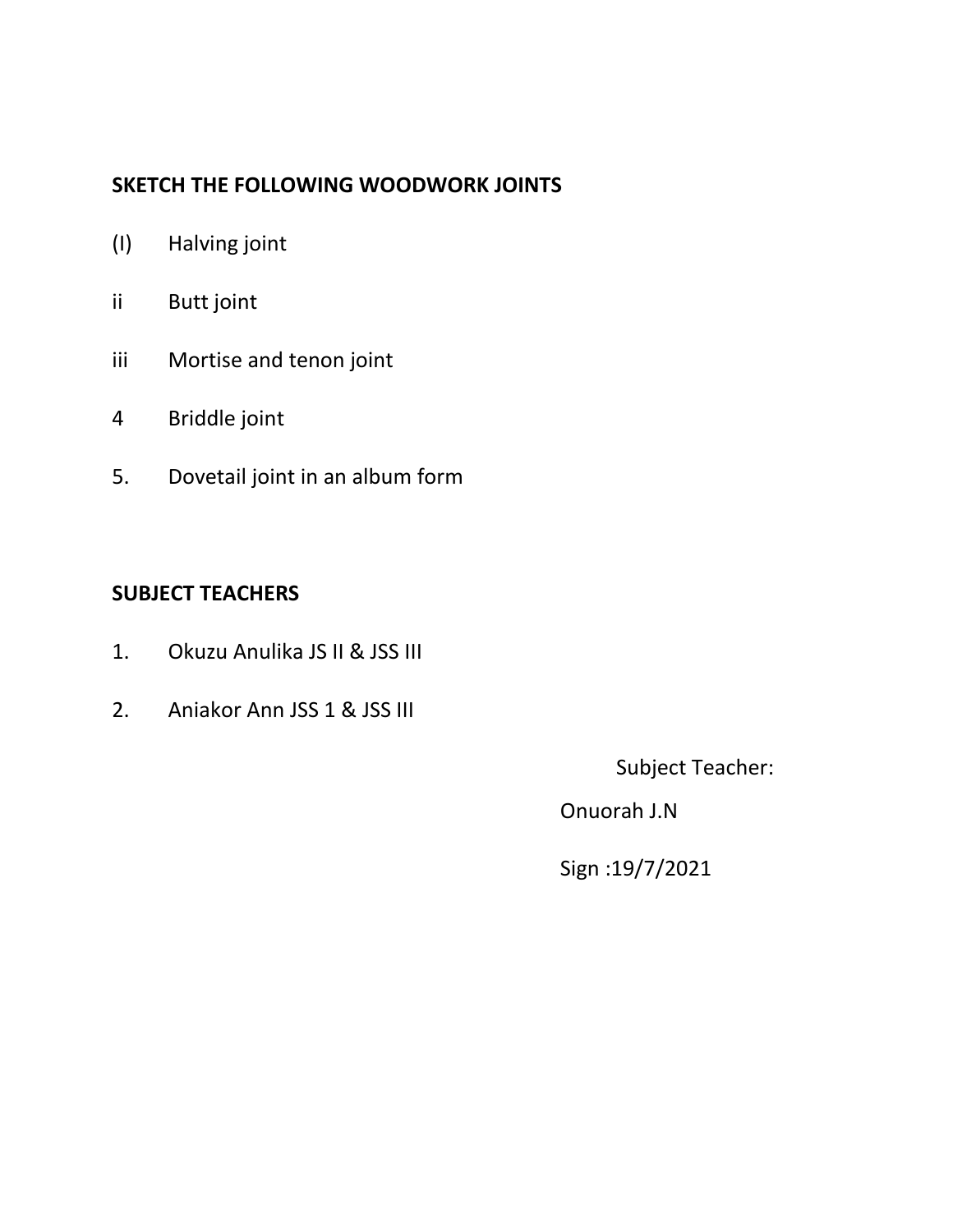# **SKETCH THE FOLLOWING WOODWORK JOINTS**

- (I) Halving joint
- ii Butt joint
- iii Mortise and tenon joint
- 4 Briddle joint
- 5. Dovetail joint in an album form

# **SUBJECT TEACHERS**

- 1. Okuzu Anulika JS II & JSS III
- 2. Aniakor Ann JSS 1 & JSS III

Subject Teacher:

Onuorah J.N

Sign :19/7/2021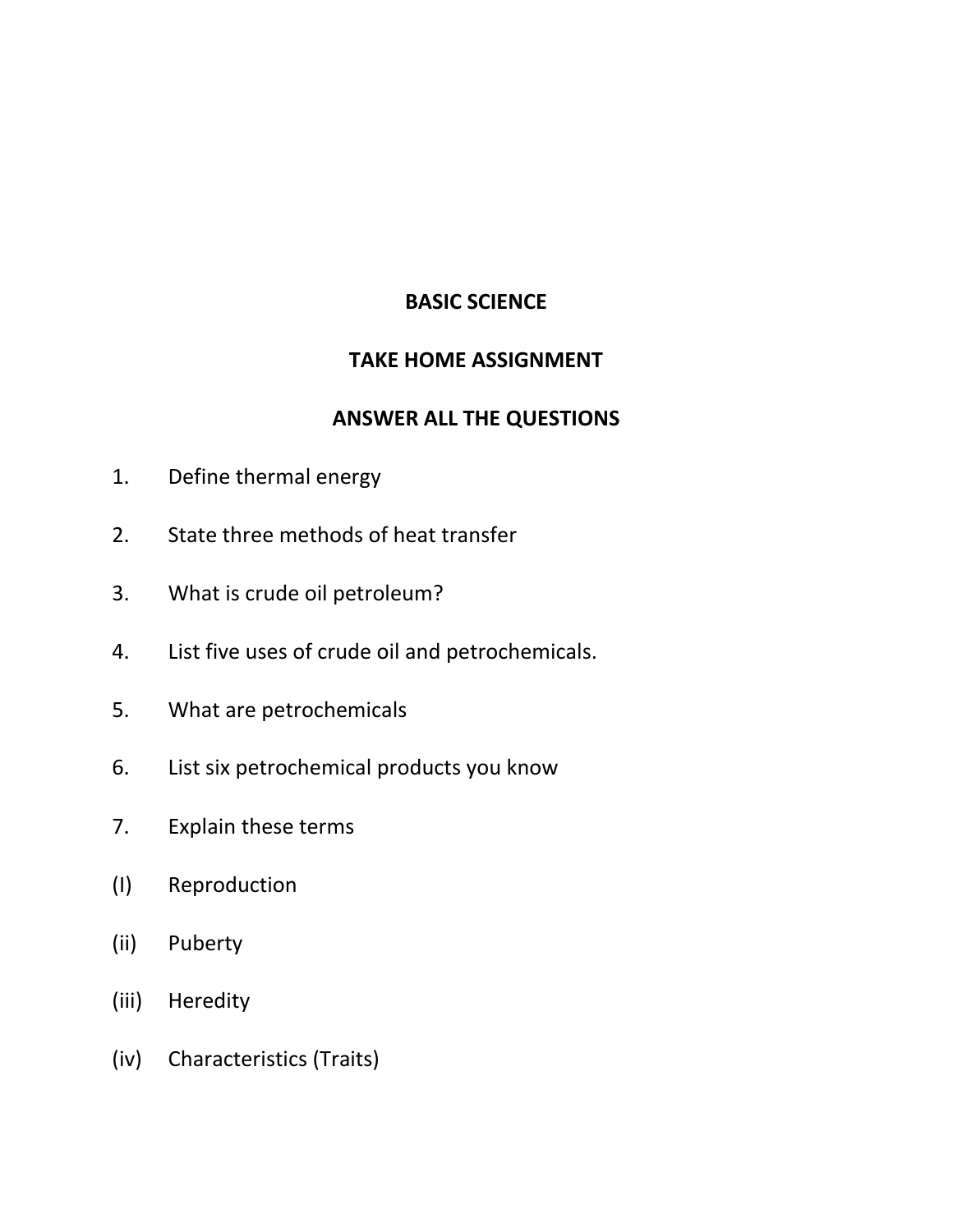# **BASIC SCIENCE**

#### **TAKE HOME ASSIGNMENT**

#### **ANSWER ALL THE QUESTIONS**

- 1. Define thermal energy
- 2. State three methods of heat transfer
- 3. What is crude oil petroleum?
- 4. List five uses of crude oil and petrochemicals.
- 5. What are petrochemicals
- 6. List six petrochemical products you know
- 7. Explain these terms
- (I) Reproduction
- (ii) Puberty
- (iii) Heredity
- (iv) Characteristics (Traits)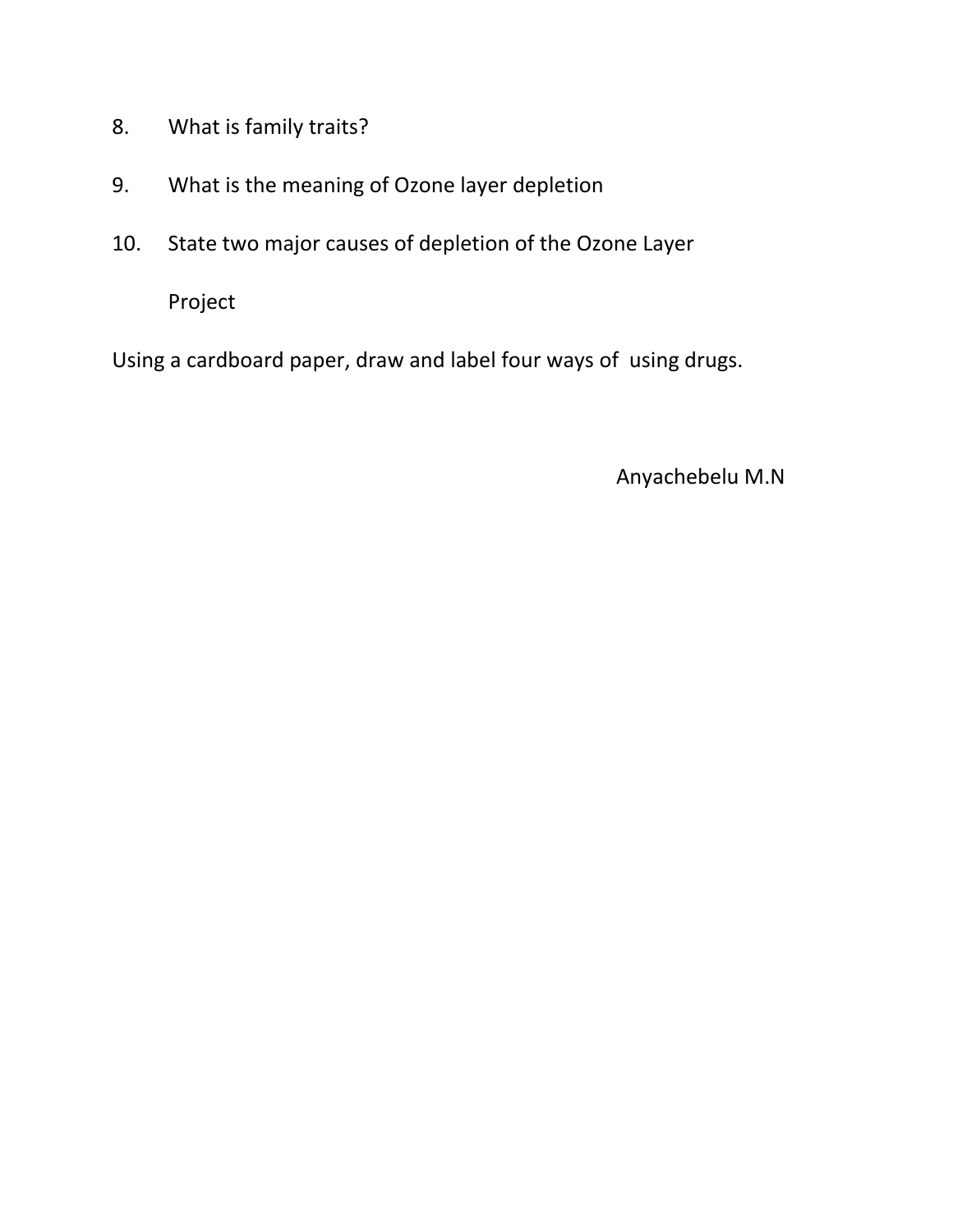- 8. What is family traits?
- 9. What is the meaning of Ozone layer depletion
- 10. State two major causes of depletion of the Ozone Layer

Project

Using a cardboard paper, draw and label four ways of using drugs.

Anyachebelu M.N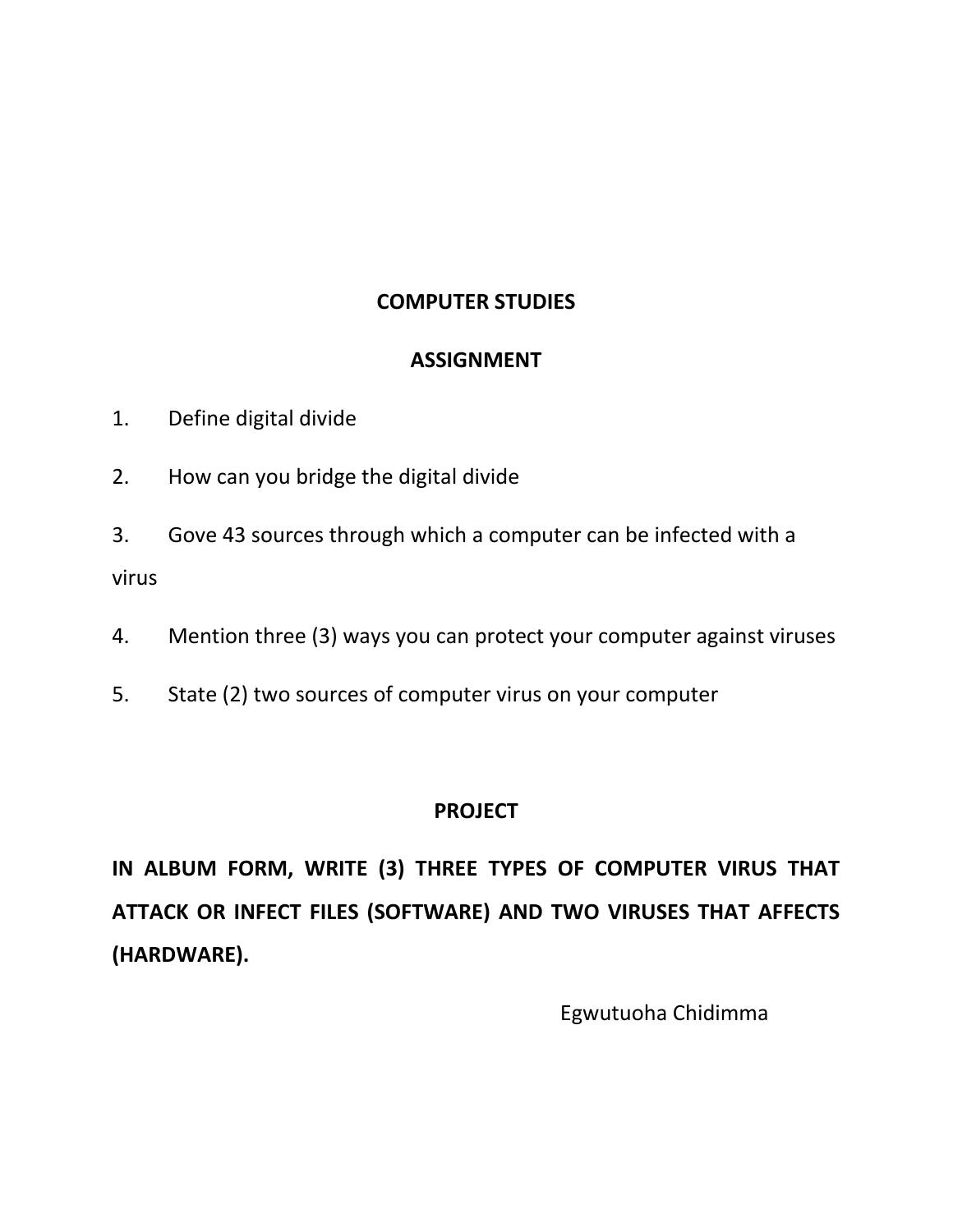# **COMPUTER STUDIES**

#### **ASSIGNMENT**

- 1. Define digital divide
- 2. How can you bridge the digital divide
- 3. Gove 43 sources through which a computer can be infected with a virus
- 4. Mention three (3) ways you can protect your computer against viruses
- 5. State (2) two sources of computer virus on your computer

#### **PROJECT**

**IN ALBUM FORM, WRITE (3) THREE TYPES OF COMPUTER VIRUS THAT ATTACK OR INFECT FILES (SOFTWARE) AND TWO VIRUSES THAT AFFECTS (HARDWARE).** 

Egwutuoha Chidimma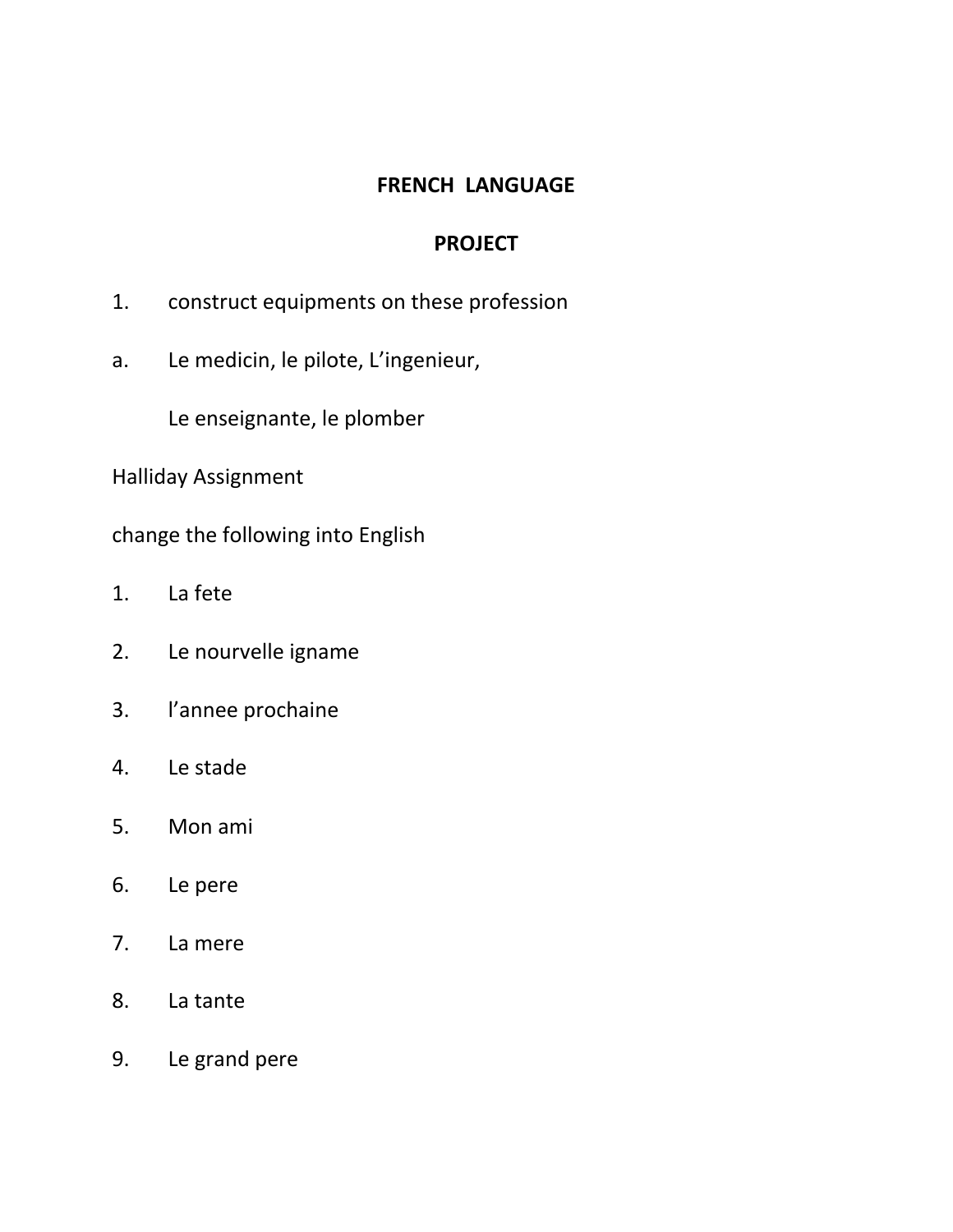#### **FRENCH LANGUAGE**

#### **PROJECT**

- 1. construct equipments on these profession
- a. Le medicin, le pilote, L'ingenieur,

Le enseignante, le plomber

Halliday Assignment

change the following into English

- 1. La fete
- 2. Le nourvelle igname
- 3. l'annee prochaine
- 4. Le stade
- 5. Mon ami
- 6. Le pere
- 7. La mere
- 8. La tante
- 9. Le grand pere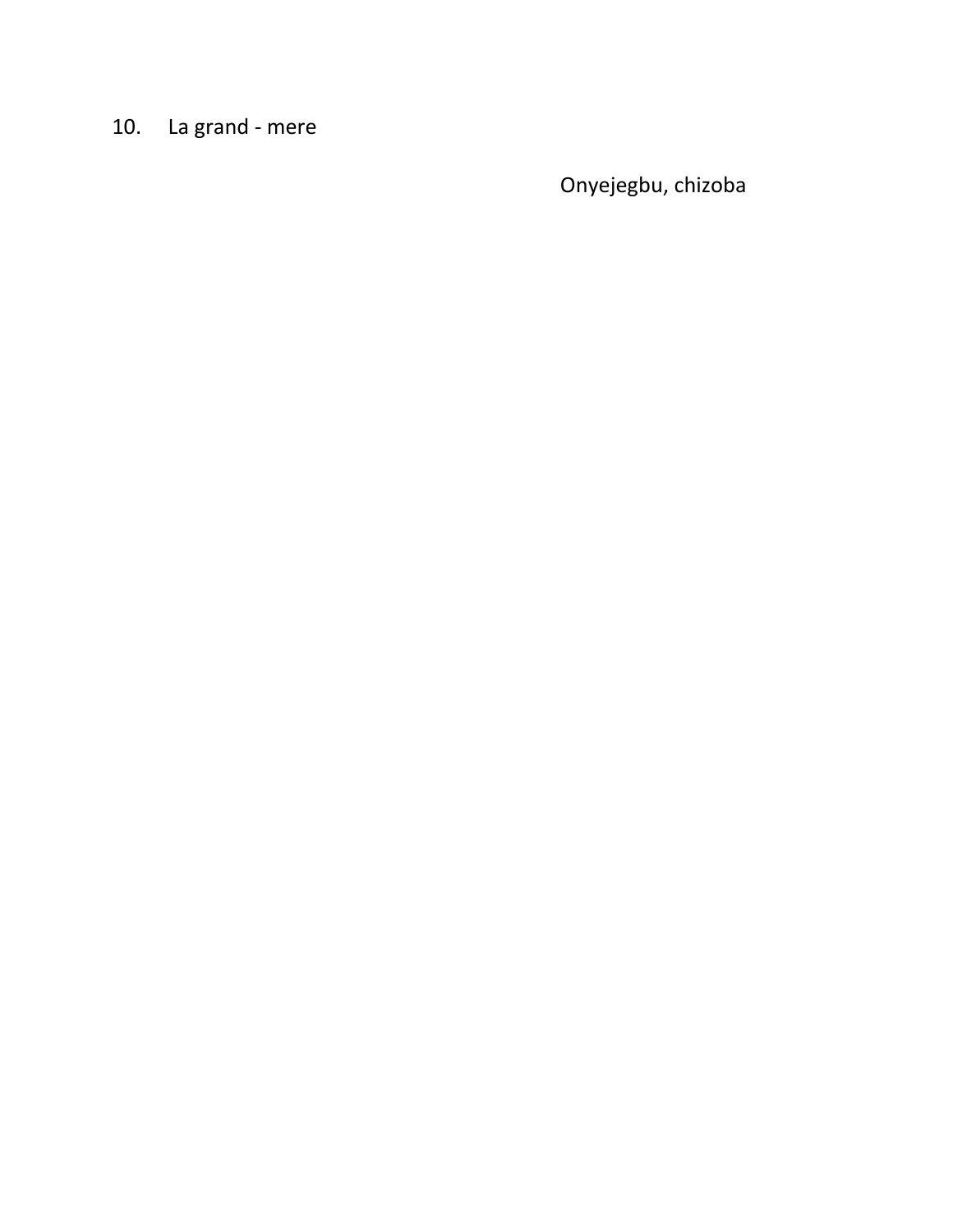# 10. La grand - mere

Onyejegbu, chizoba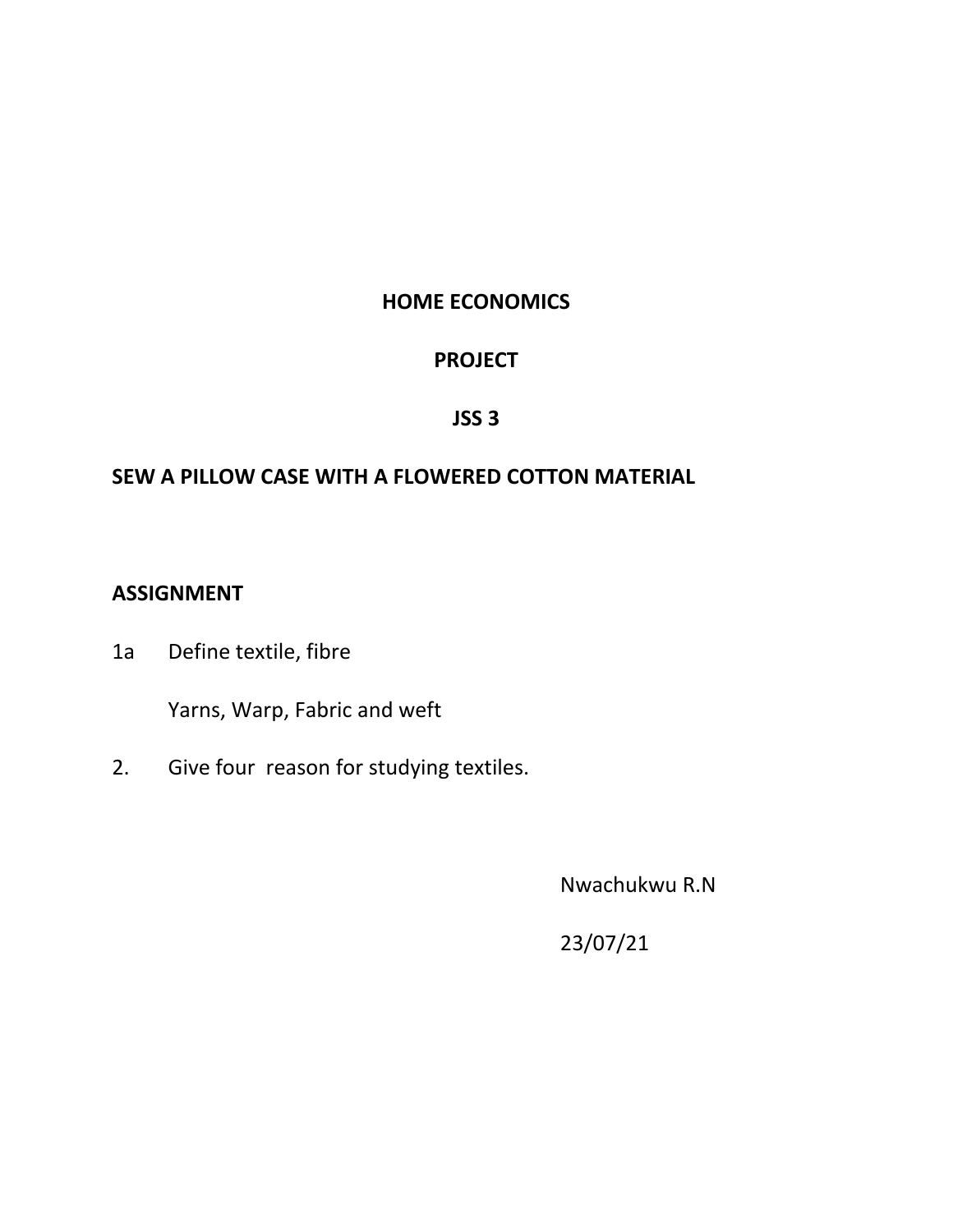# **HOME ECONOMICS**

# **PROJECT**

#### **JSS 3**

### **SEW A PILLOW CASE WITH A FLOWERED COTTON MATERIAL**

# **ASSIGNMENT**

1a Define textile, fibre

Yarns, Warp, Fabric and weft

2. Give four reason for studying textiles.

Nwachukwu R.N

23/07/21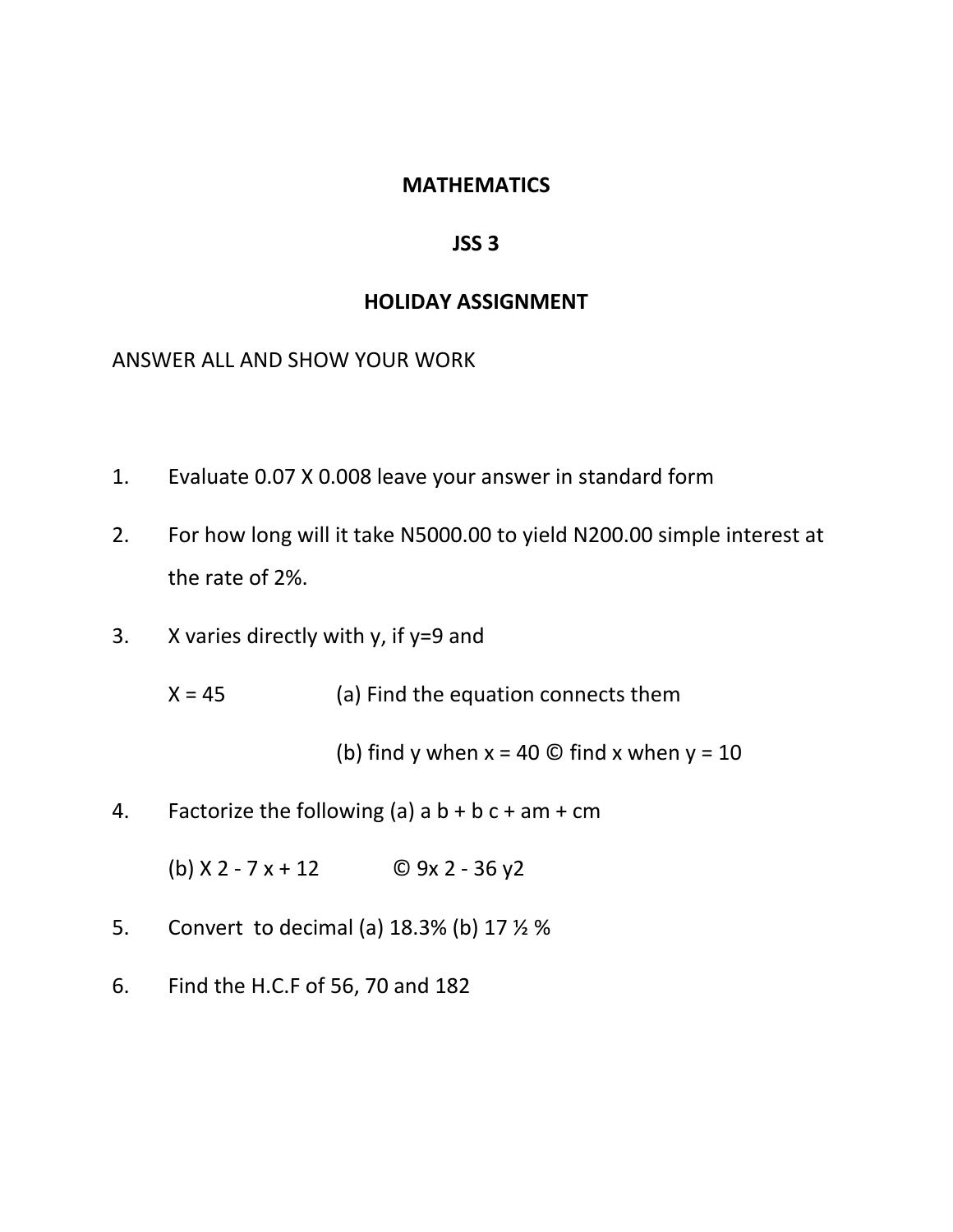#### **MATHEMATICS**

#### **JSS 3**

#### **HOLIDAY ASSIGNMENT**

ANSWER ALL AND SHOW YOUR WORK

- 1. Evaluate 0.07 X 0.008 leave your answer in standard form
- 2. For how long will it take N5000.00 to yield N200.00 simple interest at the rate of 2%.
- 3. X varies directly with y, if  $y=9$  and
	- $X = 45$  (a) Find the equation connects them

(b) find y when  $x = 40$  © find x when  $y = 10$ 

4. Factorize the following (a)  $a + b + c + am + cm$ 

(b)  $X 2 - 7x + 12$  © 9x 2 - 36 y2

- 5. Convert to decimal (a) 18.3% (b) 17 ½ %
- 6. Find the H.C.F of 56, 70 and 182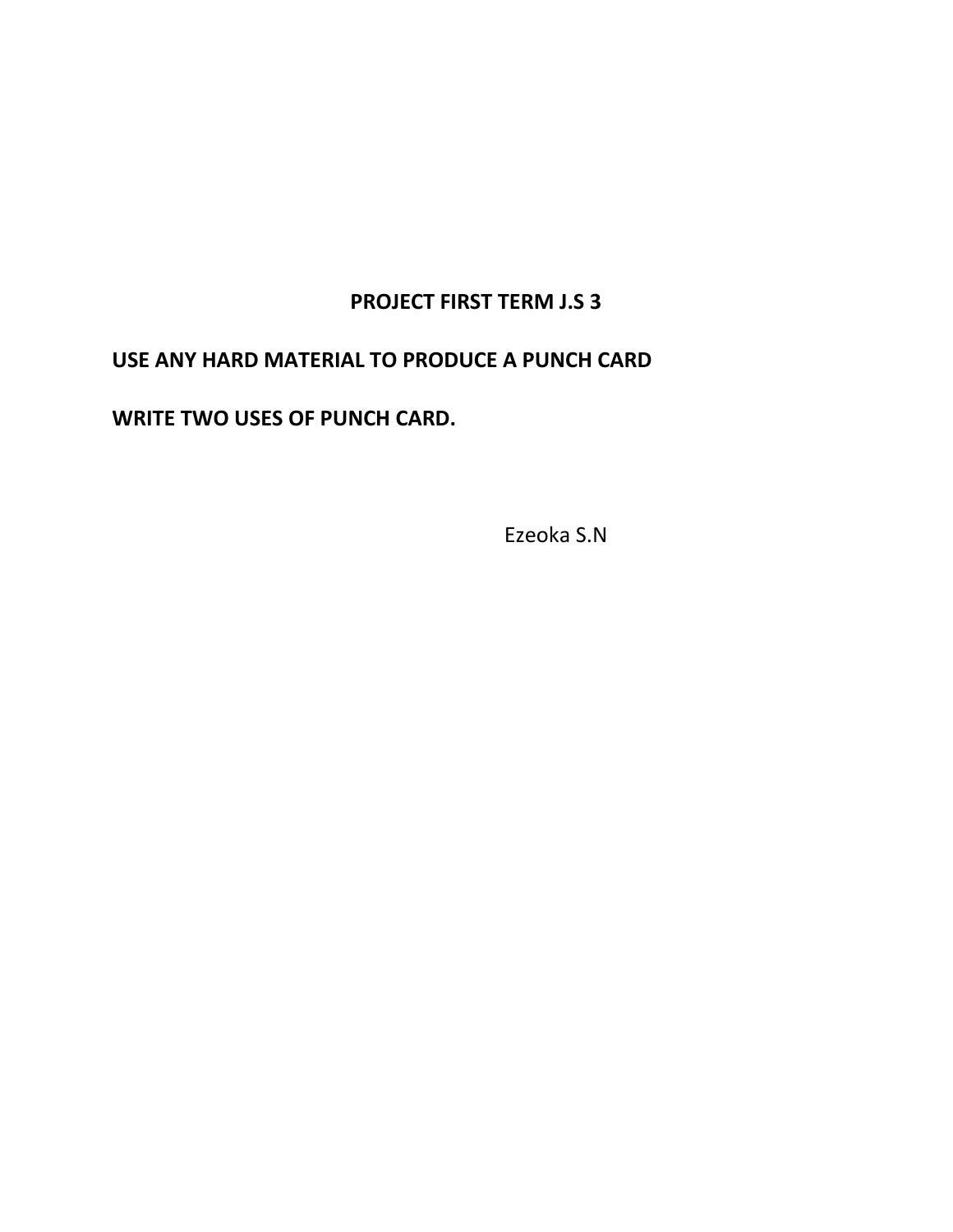## **PROJECT FIRST TERM J.S 3**

#### **USE ANY HARD MATERIAL TO PRODUCE A PUNCH CARD**

**WRITE TWO USES OF PUNCH CARD.**

Ezeoka S.N